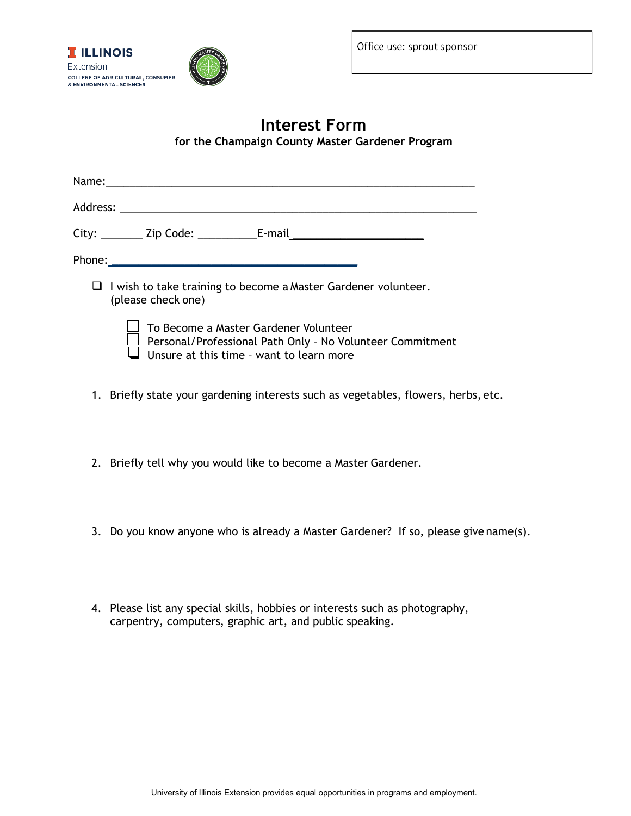

## **Interest Form for the Champaign County Master Gardener Program**

| Name:                                                                                                                                                                                                                          |  |  |  |  |  |  |
|--------------------------------------------------------------------------------------------------------------------------------------------------------------------------------------------------------------------------------|--|--|--|--|--|--|
|                                                                                                                                                                                                                                |  |  |  |  |  |  |
| City: _________ Zip Code: _______________E-mail ________________________________                                                                                                                                               |  |  |  |  |  |  |
| Phone: The control of the control of the control of the control of the control of the control of the control of the control of the control of the control of the control of the control of the control of the control of the c |  |  |  |  |  |  |
| $\Box$ I wish to take training to become a Master Gardener volunteer.<br>(please check one)                                                                                                                                    |  |  |  |  |  |  |
| To Become a Master Gardener Volunteer<br>$\perp$ Personal/Professional Path Only - No Volunteer Commitment<br>Unsure at this time - want to learn more                                                                         |  |  |  |  |  |  |

- 1. Briefly state your gardening interests such as vegetables, flowers, herbs, etc.
- 2. Briefly tell why you would like to become a Master Gardener.
- 3. Do you know anyone who is already a Master Gardener? If so, please give name(s).
- 4. Please list any special skills, hobbies or interests such as photography, carpentry, computers, graphic art, and public speaking.